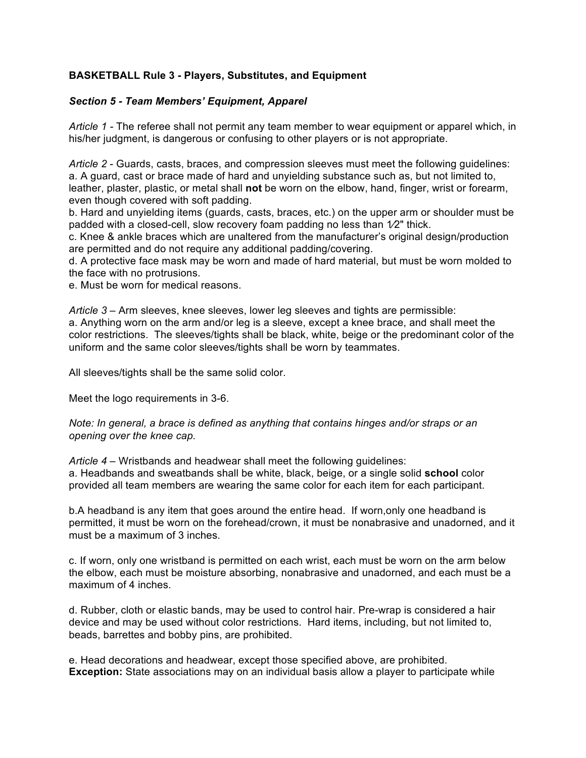## **BASKETBALL Rule 3 - Players, Substitutes, and Equipment**

## *Section 5 - Team Members' Equipment, Apparel*

*Article 1 -* The referee shall not permit any team member to wear equipment or apparel which, in his/her judgment, is dangerous or confusing to other players or is not appropriate.

*Article 2* - Guards, casts, braces, and compression sleeves must meet the following guidelines: a. A guard, cast or brace made of hard and unyielding substance such as, but not limited to, leather, plaster, plastic, or metal shall **not** be worn on the elbow, hand, finger, wrist or forearm, even though covered with soft padding.

b. Hard and unyielding items (guards, casts, braces, etc.) on the upper arm or shoulder must be padded with a closed-cell, slow recovery foam padding no less than  $1/2$ " thick.

c. Knee & ankle braces which are unaltered from the manufacturer's original design/production are permitted and do not require any additional padding/covering.

d. A protective face mask may be worn and made of hard material, but must be worn molded to the face with no protrusions.

e. Must be worn for medical reasons.

*Article 3* – Arm sleeves, knee sleeves, lower leg sleeves and tights are permissible: a. Anything worn on the arm and/or leg is a sleeve, except a knee brace, and shall meet the color restrictions. The sleeves/tights shall be black, white, beige or the predominant color of the uniform and the same color sleeves/tights shall be worn by teammates.

All sleeves/tights shall be the same solid color.

Meet the logo requirements in 3-6.

## *Note: In general, a brace is defined as anything that contains hinges and/or straps or an opening over the knee cap.*

*Article 4* – Wristbands and headwear shall meet the following guidelines: a. Headbands and sweatbands shall be white, black, beige, or a single solid **school** color provided all team members are wearing the same color for each item for each participant.

b.A headband is any item that goes around the entire head. If worn,only one headband is permitted, it must be worn on the forehead/crown, it must be nonabrasive and unadorned, and it must be a maximum of 3 inches.

c. If worn, only one wristband is permitted on each wrist, each must be worn on the arm below the elbow, each must be moisture absorbing, nonabrasive and unadorned, and each must be a maximum of 4 inches.

d. Rubber, cloth or elastic bands, may be used to control hair. Pre-wrap is considered a hair device and may be used without color restrictions. Hard items, including, but not limited to, beads, barrettes and bobby pins, are prohibited.

e. Head decorations and headwear, except those specified above, are prohibited. **Exception:** State associations may on an individual basis allow a player to participate while